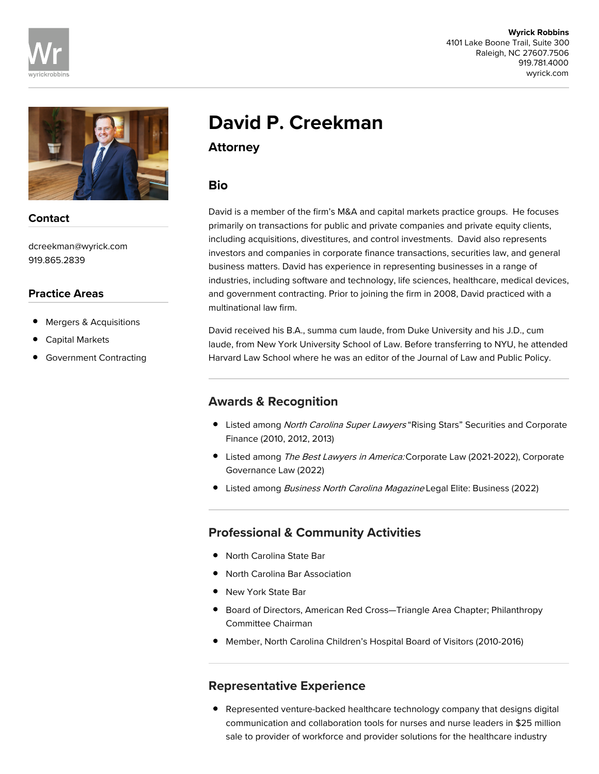



### Contact

dcreekman@wyrick.com 919.865.2839

#### Practice Areas

- Mergers & Acquisitions
- Capital Markets
- Government Contracting

# David P. Creekman

Attorney

## **Bio**

David is a member of the firm's M&A and capital markets practice groups. He focuses primarily on transactions for public and private companies and private equity clients, including acquisitions, divestitures, and control investments. David also represents investors and companies in corporate finance transactions, securities law, and general business matters. David has experience in representing businesses in a range of industries, including software and technology, life sciences, healthcare, medical devices, and government contracting. Prior to joining the firm in 2008, David practiced with a multinational law firm.

David received his B.A., summa cum laude, from Duke University and his J.D., cum laude, from New York University School of Law. Before transferring to NYU, he attended Harvard Law School where he was an editor of the Journal of Law and Public Policy.

## Awards & Recognition

- **•** Listed among North Carolina Super Lawyers "Rising Stars" Securities and Corporate Finance (2010, 2012, 2013)
- Listed among The Best Lawyers in America: Corporate Law (2021-2022), Corporate Governance Law (2022)
- Listed among Business North Carolina Magazine Legal Elite: Business (2022)

## Professional & Community Activities

- North Carolina State Bar
- North Carolina Bar Association
- New York State Bar
- Board of Directors, American Red Cross—Triangle Area Chapter; Philanthropy Committee Chairman
- Member, North Carolina Children's Hospital Board of Visitors (2010-2016)

### Representative Experience

Represented venture-backed healthcare technology company that designs digital communication and collaboration tools for nurses and nurse leaders in \$25 million sale to provider of workforce and provider solutions for the healthcare industry